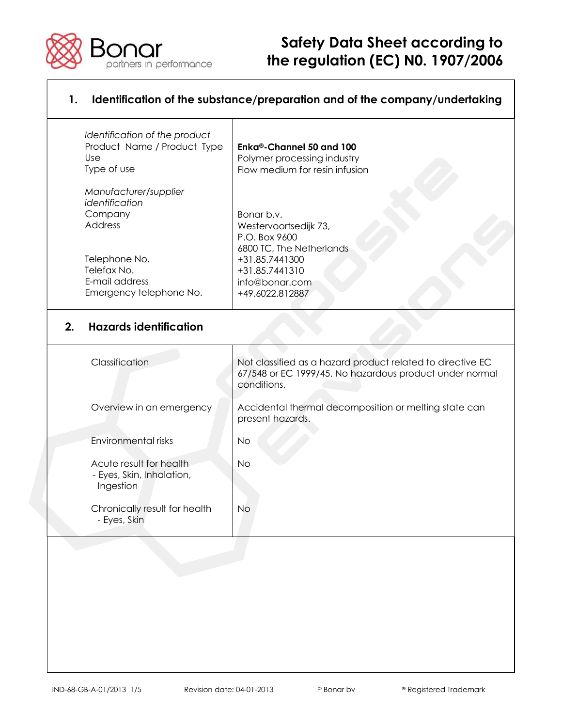

# **Safety Data Sheet according to POT TOP INTERNATION CONTROLLY TO A THE REGUlation (EC) N0. 1907/2006**

| Identification of the product<br>Product Name / Product Type<br>Use<br>Type of use | Enka®-Channel 50 and 100<br>Polymer processing industry<br>Flow medium for resin infusion |
|------------------------------------------------------------------------------------|-------------------------------------------------------------------------------------------|
| Manufacturer/supplier                                                              |                                                                                           |
| identification                                                                     |                                                                                           |
| Company                                                                            | Bonar b.v.                                                                                |
| Address                                                                            | Westervoortsedijk 73,                                                                     |
|                                                                                    | P.O. Box 9600                                                                             |
|                                                                                    | 6800 TC, The Netherlands                                                                  |
| Telephone No.                                                                      | +31.85.7441300                                                                            |
| Telefax No.                                                                        | +31.85.7441310                                                                            |
| E-mail address                                                                     | info@bonar.com                                                                            |
| Emergency telephone No.                                                            | +49.6022.812887                                                                           |

| Classification                                                    | Not classified as a hazard product related to directive EC<br>67/548 or EC 1999/45. No hazardous product under normal<br>conditions. |
|-------------------------------------------------------------------|--------------------------------------------------------------------------------------------------------------------------------------|
| Overview in an emergency                                          | Accidental thermal decomposition or melting state can<br>present hazards.                                                            |
| Environmental risks                                               | No.                                                                                                                                  |
| Acute result for health<br>- Eyes, Skin, Inhalation,<br>Ingestion | No.                                                                                                                                  |
| Chronically result for health<br>- Eyes, Skin                     | No.                                                                                                                                  |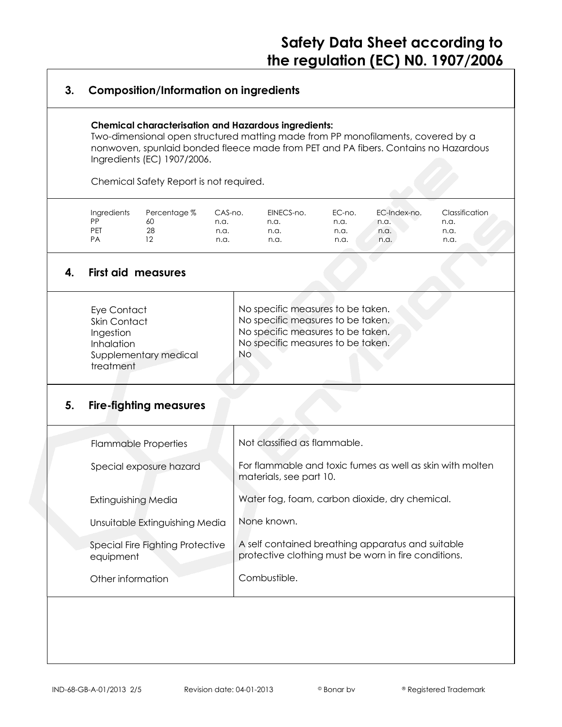## **3. Composition/Information on ingredients**

#### **Chemical characterisation and Hazardous ingredients:**

Two-dimensional open structured matting made from PP monofilaments, covered by a nonwoven, spunlaid bonded fleece made from PET and PA fibers. Contains no Hazardous Ingredients (EC) 1907/2006.

Chemical Safety Report is not required.

| Ingredients | Percentage % | CAS-no. | EINECS-no. | EC-no. | EC-Index-no. | Classification |
|-------------|--------------|---------|------------|--------|--------------|----------------|
| PP          | 6U           | n.a.    | n.a.       | n.a.   | n.a.         | n.a.           |
| PEI         | 28           | n.a.    | n.a.       | n.a.   | n.a.         | n.a.           |
| PA          |              | n.a.    | n.a.       | n.a.   | n.a.         | n.a.           |

## **4. First aid measures**

| No specific measures to be taken.<br>Eye Contact<br>No specific measures to be taken.<br>Skin Contact<br>No specific measures to be taken.<br>Ingestion<br>No specific measures to be taken.<br><b>Inhalation</b><br>No.<br>Supplementary medical<br>treatment |  |
|----------------------------------------------------------------------------------------------------------------------------------------------------------------------------------------------------------------------------------------------------------------|--|
|----------------------------------------------------------------------------------------------------------------------------------------------------------------------------------------------------------------------------------------------------------------|--|

### **5. Fire-fighting measures**

| <b>Flammable Properties</b>                   | Not classified as flammable.                                                                              |
|-----------------------------------------------|-----------------------------------------------------------------------------------------------------------|
| Special exposure hazard                       | For flammable and toxic fumes as well as skin with molten<br>materials, see part 10.                      |
| Extinguishing Media                           | Water fog, foam, carbon dioxide, dry chemical.                                                            |
| Unsuitable Extinguishing Media                | None known.                                                                                               |
| Special Fire Fighting Protective<br>equipment | A self contained breathing apparatus and suitable<br>protective clothing must be worn in fire conditions. |
| Other information                             | Combustible.                                                                                              |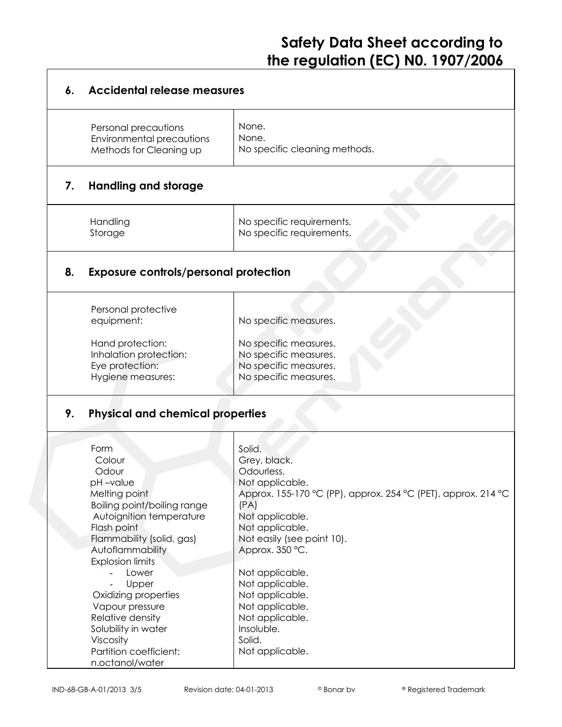# **Safety Data Sheet according to the regulation (EC) N0. 1907/2006**

| 6. | <b>Accidental release measures</b>                                                                                                                                                                                                                                                                                                                                            |                                                                                                                                                                                                                                                                                                                                                                   |  |  |
|----|-------------------------------------------------------------------------------------------------------------------------------------------------------------------------------------------------------------------------------------------------------------------------------------------------------------------------------------------------------------------------------|-------------------------------------------------------------------------------------------------------------------------------------------------------------------------------------------------------------------------------------------------------------------------------------------------------------------------------------------------------------------|--|--|
|    | Personal precautions<br>Environmental precautions<br>Methods for Cleaning up                                                                                                                                                                                                                                                                                                  | None.<br>None.<br>No specific cleaning methods.                                                                                                                                                                                                                                                                                                                   |  |  |
| 7. | <b>Handling and storage</b>                                                                                                                                                                                                                                                                                                                                                   |                                                                                                                                                                                                                                                                                                                                                                   |  |  |
|    | Handling<br>Storage                                                                                                                                                                                                                                                                                                                                                           | No specific requirements.<br>No specific requirements.                                                                                                                                                                                                                                                                                                            |  |  |
| 8. | <b>Exposure controls/personal protection</b>                                                                                                                                                                                                                                                                                                                                  |                                                                                                                                                                                                                                                                                                                                                                   |  |  |
|    | Personal protective<br>equipment:<br>Hand protection:<br>Inhalation protection:<br>Eye protection:<br>Hygiene measures:                                                                                                                                                                                                                                                       | No specific measures.<br>No specific measures.<br>No specific measures.<br>No specific measures.<br>No specific measures.                                                                                                                                                                                                                                         |  |  |
| 9. | <b>Physical and chemical properties</b>                                                                                                                                                                                                                                                                                                                                       |                                                                                                                                                                                                                                                                                                                                                                   |  |  |
|    | Form<br>Colour<br>Odour<br>pH –value<br>Melting point<br>Boiling point/boiling range<br>Autoignition temperature<br>Flash point<br>Flammability (solid, gas)<br>Autoflammability<br><b>Explosion limits</b><br>Lower<br>Upper<br>Oxidizing properties<br>Vapour pressure<br>Relative density<br>Solubility in water<br>Viscosity<br>Partition coefficient:<br>n.octanol/water | Solid.<br>Grey, black.<br>Odourless.<br>Not applicable.<br>Approx. 155-170 °C (PP), approx. 254 °C (PET), approx. 214 °C<br>(PA)<br>Not applicable.<br>Not applicable.<br>Not easily (see point 10).<br>Approx. 350 °C.<br>Not applicable.<br>Not applicable.<br>Not applicable.<br>Not applicable.<br>Not applicable.<br>Insoluble.<br>Solid.<br>Not applicable. |  |  |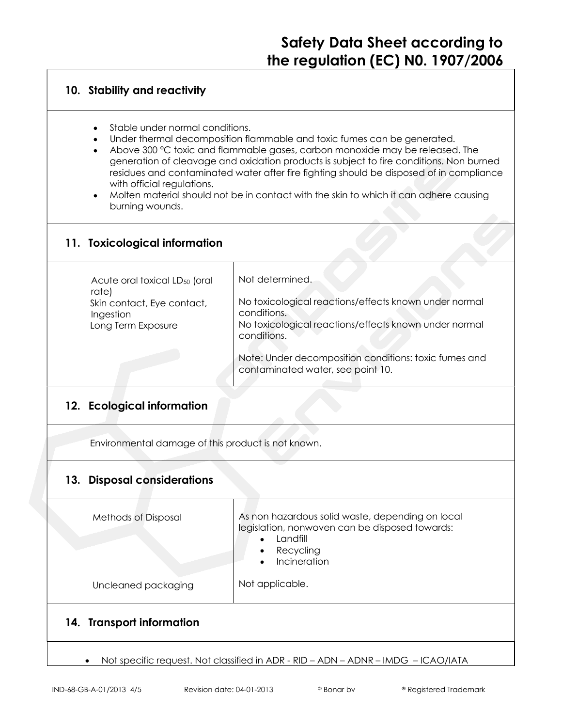### **10. Stability and reactivity**

- Stable under normal conditions.
- Under thermal decomposition flammable and toxic fumes can be generated.
- Above 300 °C toxic and flammable gases, carbon monoxide may be released. The generation of cleavage and oxidation products is subject to fire conditions. Non burned residues and contaminated water after fire fighting should be disposed of in compliance with official reaulations.
- Molten material should not be in contact with the skin to which it can adhere causing burning wounds.

### **11. Toxicological information**

| Acute oral toxical LD <sub>50</sub> (oral<br>rate) | Not determined.                                                                            |
|----------------------------------------------------|--------------------------------------------------------------------------------------------|
| Skin contact, Eye contact,<br>Ingestion            | No toxicological reactions/effects known under normal<br>conditions.                       |
| Long Term Exposure                                 | No toxicological reactions/effects known under normal<br>conditions.                       |
|                                                    | Note: Under decomposition conditions: toxic fumes and<br>contaminated water, see point 10. |

## **12. Ecological information**

Environmental damage of this product is not known.

### **13. Disposal considerations**

| Methods of Disposal       | As non hazardous solid waste, depending on local<br>legislation, nonwoven can be disposed towards:<br>Landfill<br>Recycling<br>Incineration |
|---------------------------|---------------------------------------------------------------------------------------------------------------------------------------------|
| Uncleaned packaging       | Not applicable.                                                                                                                             |
| 14. Transport information |                                                                                                                                             |
|                           |                                                                                                                                             |

Not specific request. Not classified in ADR - RID – ADN – ADNR – IMDG – ICAO/IATA

 $\bullet$